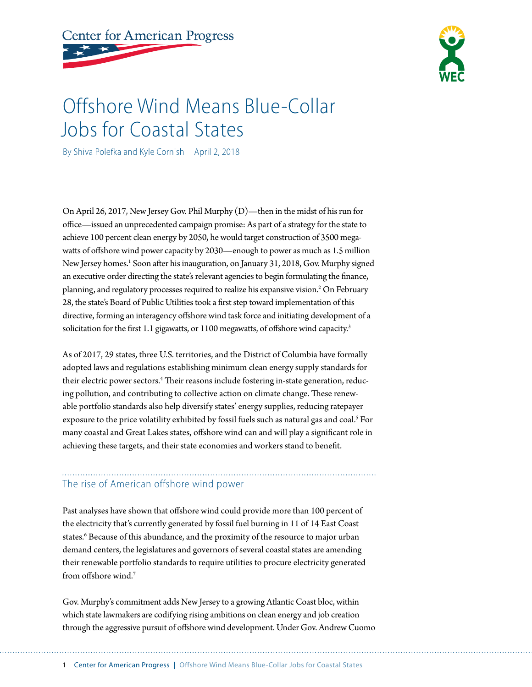**Center for American Progress** 



# Offshore Wind Means Blue-Collar Jobs for Coastal States

By Shiva Polefka and Kyle Cornish April 2, 2018

On April 26, 2017, New Jersey Gov. Phil Murphy (D)—then in the midst of his run for office—issued an unprecedented campaign promise: As part of a strategy for the state to achieve 100 percent clean energy by 2050, he would target construction of 3500 megawatts of offshore wind power capacity by 2030—enough to power as much as 1.5 million New Jersey homes.<sup>1</sup> Soon after his inauguration, on January 31, 2018, Gov. Murphy signed an executive order directing the state's relevant agencies to begin formulating the finance, planning, and regulatory processes required to realize his expansive vision.<sup>2</sup> On February 28, the state's Board of Public Utilities took a first step toward implementation of this directive, forming an interagency offshore wind task force and initiating development of a solicitation for the first 1.1 gigawatts, or 1100 megawatts, of offshore wind capacity.<sup>3</sup>

As of 2017, 29 states, three U.S. territories, and the District of Columbia have formally adopted laws and regulations establishing minimum clean energy supply standards for their electric power sectors.<sup>4</sup> Their reasons include fostering in-state generation, reducing pollution, and contributing to collective action on climate change. These renewable portfolio standards also help diversify states' energy supplies, reducing ratepayer exposure to the price volatility exhibited by fossil fuels such as natural gas and coal.<sup>5</sup> For many coastal and Great Lakes states, offshore wind can and will play a significant role in achieving these targets, and their state economies and workers stand to benefit.

## The rise of American offshore wind power

Past analyses have shown that offshore wind could provide more than 100 percent of the electricity that's currently generated by fossil fuel burning in 11 of 14 East Coast states.<sup>6</sup> Because of this abundance, and the proximity of the resource to major urban demand centers, the legislatures and governors of several coastal states are amending their renewable portfolio standards to require utilities to procure electricity generated from offshore wind.<sup>7</sup>

Gov. Murphy's commitment adds New Jersey to a growing Atlantic Coast bloc, within which state lawmakers are codifying rising ambitions on clean energy and job creation through the aggressive pursuit of offshore wind development. Under Gov. Andrew Cuomo

1 Center for American Progress | Offshore Wind Means Blue-Collar Jobs for Coastal States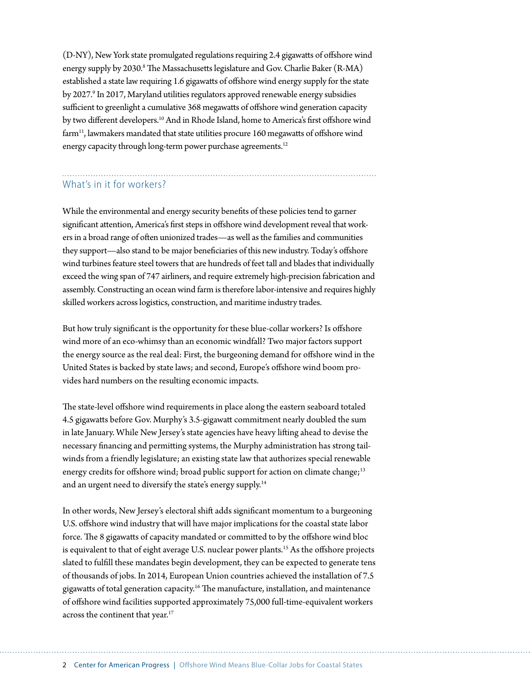(D-NY), New York state promulgated regulations requiring 2.4 gigawatts of offshore wind energy supply by 2030.<sup>8</sup> The Massachusetts legislature and Gov. Charlie Baker (R-MA) established a state law requiring 1.6 gigawatts of offshore wind energy supply for the state by 2027.<sup>9</sup> In 2017, Maryland utilities regulators approved renewable energy subsidies sufficient to greenlight a cumulative 368 megawatts of offshore wind generation capacity by two different developers.<sup>10</sup> And in Rhode Island, home to America's first offshore wind farm<sup>11</sup>, lawmakers mandated that state utilities procure 160 megawatts of offshore wind energy capacity through long-term power purchase agreements.<sup>12</sup>

### What's in it for workers?

While the environmental and energy security benefits of these policies tend to garner significant attention, America's first steps in offshore wind development reveal that workers in a broad range of often unionized trades—as well as the families and communities they support—also stand to be major beneficiaries of this new industry. Today's offshore wind turbines feature steel towers that are hundreds of feet tall and blades that individually exceed the wing span of 747 airliners, and require extremely high-precision fabrication and assembly. Constructing an ocean wind farm is therefore labor-intensive and requires highly skilled workers across logistics, construction, and maritime industry trades.

But how truly significant is the opportunity for these blue-collar workers? Is offshore wind more of an eco-whimsy than an economic windfall? Two major factors support the energy source as the real deal: First, the burgeoning demand for offshore wind in the United States is backed by state laws; and second, Europe's offshore wind boom provides hard numbers on the resulting economic impacts.

The state-level offshore wind requirements in place along the eastern seaboard totaled 4.5 gigawatts before Gov. Murphy's 3.5-gigawatt commitment nearly doubled the sum in late January. While New Jersey's state agencies have heavy lifting ahead to devise the necessary financing and permitting systems, the Murphy administration has strong tailwinds from a friendly legislature; an existing state law that authorizes special renewable energy credits for offshore wind; broad public support for action on climate change;<sup>13</sup> and an urgent need to diversify the state's energy supply.<sup>14</sup>

In other words, New Jersey's electoral shift adds significant momentum to a burgeoning U.S. offshore wind industry that will have major implications for the coastal state labor force. The 8 gigawatts of capacity mandated or committed to by the offshore wind bloc is equivalent to that of eight average U.S. nuclear power plants.<sup>15</sup> As the offshore projects slated to fulfill these mandates begin development, they can be expected to generate tens of thousands of jobs. In 2014, European Union countries achieved the installation of 7.5 gigawatts of total generation capacity.16 The manufacture, installation, and maintenance of offshore wind facilities supported approximately 75,000 full-time-equivalent workers across the continent that year.<sup>17</sup>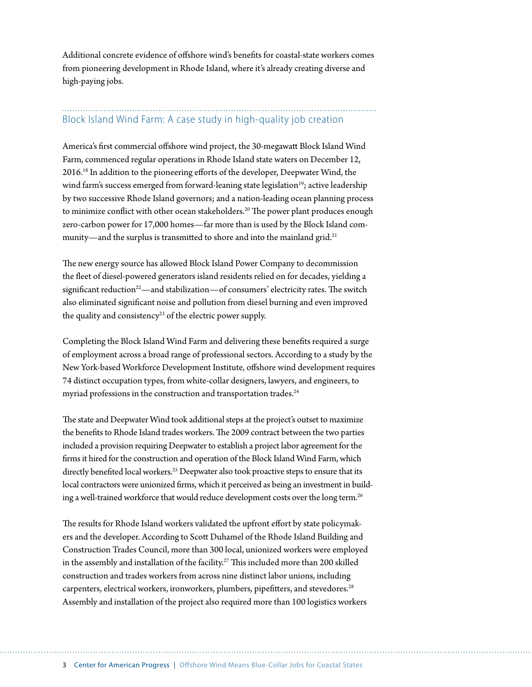Additional concrete evidence of offshore wind's benefits for coastal-state workers comes from pioneering development in Rhode Island, where it's already creating diverse and high-paying jobs.

### Block Island Wind Farm: A case study in high-quality job creation

America's first commercial offshore wind project, the 30-megawatt Block Island Wind Farm, commenced regular operations in Rhode Island state waters on December 12, 2016.18 In addition to the pioneering efforts of the developer, Deepwater Wind, the wind farm's success emerged from forward-leaning state legislation<sup>19</sup>; active leadership by two successive Rhode Island governors; and a nation-leading ocean planning process to minimize conflict with other ocean stakeholders.<sup>20</sup> The power plant produces enough zero-carbon power for 17,000 homes—far more than is used by the Block Island community—and the surplus is transmitted to shore and into the mainland grid.<sup>21</sup>

The new energy source has allowed Block Island Power Company to decommission the fleet of diesel-powered generators island residents relied on for decades, yielding a significant reduction<sup>22</sup>—and stabilization—of consumers' electricity rates. The switch also eliminated significant noise and pollution from diesel burning and even improved the quality and consistency<sup>23</sup> of the electric power supply.

Completing the Block Island Wind Farm and delivering these benefits required a surge of employment across a broad range of professional sectors. According to a study by the New York-based Workforce Development Institute, offshore wind development requires 74 distinct occupation types, from white-collar designers, lawyers, and engineers, to myriad professions in the construction and transportation trades.<sup>24</sup>

The state and Deepwater Wind took additional steps at the project's outset to maximize the benefits to Rhode Island trades workers. The 2009 contract between the two parties included a provision requiring Deepwater to establish a project labor agreement for the firms it hired for the construction and operation of the Block Island Wind Farm, which directly benefited local workers.<sup>25</sup> Deepwater also took proactive steps to ensure that its local contractors were unionized firms, which it perceived as being an investment in building a well-trained workforce that would reduce development costs over the long term.<sup>26</sup>

The results for Rhode Island workers validated the upfront effort by state policymakers and the developer. According to Scott Duhamel of the Rhode Island Building and Construction Trades Council, more than 300 local, unionized workers were employed in the assembly and installation of the facility.<sup>27</sup> This included more than 200 skilled construction and trades workers from across nine distinct labor unions, including carpenters, electrical workers, ironworkers, plumbers, pipefitters, and stevedores.<sup>28</sup> Assembly and installation of the project also required more than 100 logistics workers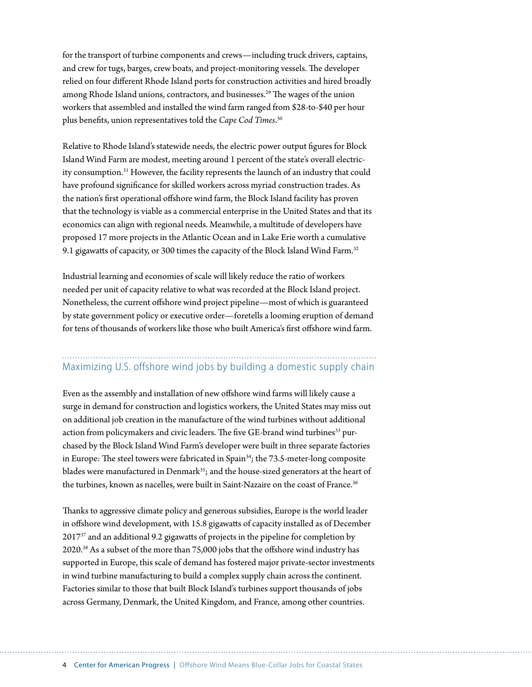for the transport of turbine components and crews—including truck drivers, captains, and crew for tugs, barges, crew boats, and project-monitoring vessels. The developer relied on four different Rhode Island ports for construction activities and hired broadly among Rhode Island unions, contractors, and businesses.<sup>29</sup> The wages of the union workers that assembled and installed the wind farm ranged from \$28-to-\$40 per hour plus benefits, union representatives told the *Cape Cod Times*. 30

Relative to Rhode Island's statewide needs, the electric power output figures for Block Island Wind Farm are modest, meeting around 1 percent of the state's overall electricity consumption.31 However, the facility represents the launch of an industry that could have profound significance for skilled workers across myriad construction trades. As the nation's first operational offshore wind farm, the Block Island facility has proven that the technology is viable as a commercial enterprise in the United States and that its economics can align with regional needs. Meanwhile, a multitude of developers have proposed 17 more projects in the Atlantic Ocean and in Lake Erie worth a cumulative 9.1 gigawatts of capacity, or 300 times the capacity of the Block Island Wind Farm.<sup>32</sup>

Industrial learning and economies of scale will likely reduce the ratio of workers needed per unit of capacity relative to what was recorded at the Block Island project. Nonetheless, the current offshore wind project pipeline—most of which is guaranteed by state government policy or executive order—foretells a looming eruption of demand for tens of thousands of workers like those who built America's first offshore wind farm.

#### Maximizing U.S. offshore wind jobs by building a domestic supply chain

Even as the assembly and installation of new offshore wind farms will likely cause a surge in demand for construction and logistics workers, the United States may miss out on additional job creation in the manufacture of the wind turbines without additional action from policymakers and civic leaders. The five GE-brand wind turbines<sup>33</sup> purchased by the Block Island Wind Farm's developer were built in three separate factories in Europe: The steel towers were fabricated in Spain<sup>34</sup>; the 73.5-meter-long composite blades were manufactured in Denmark<sup>35</sup>; and the house-sized generators at the heart of the turbines, known as nacelles, were built in Saint-Nazaire on the coast of France.<sup>36</sup>

Thanks to aggressive climate policy and generous subsidies, Europe is the world leader in offshore wind development, with 15.8 gigawatts of capacity installed as of December 201737 and an additional 9.2 gigawatts of projects in the pipeline for completion by 2020.38 As a subset of the more than 75,000 jobs that the offshore wind industry has supported in Europe, this scale of demand has fostered major private-sector investments in wind turbine manufacturing to build a complex supply chain across the continent. Factories similar to those that built Block Island's turbines support thousands of jobs across Germany, Denmark, the United Kingdom, and France, among other countries.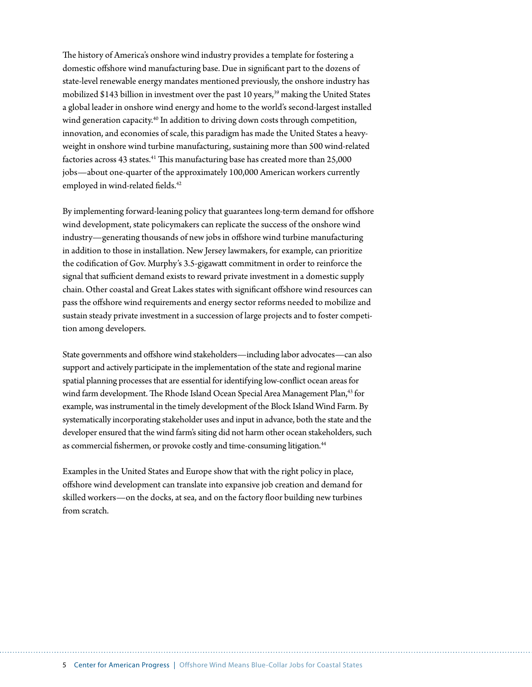The history of America's onshore wind industry provides a template for fostering a domestic offshore wind manufacturing base. Due in significant part to the dozens of state-level renewable energy mandates mentioned previously, the onshore industry has mobilized \$143 billion in investment over the past 10 years,<sup>39</sup> making the United States a global leader in onshore wind energy and home to the world's second-largest installed wind generation capacity.<sup>40</sup> In addition to driving down costs through competition, innovation, and economies of scale, this paradigm has made the United States a heavyweight in onshore wind turbine manufacturing, sustaining more than 500 wind-related factories across 43 states.<sup>41</sup> This manufacturing base has created more than 25,000 jobs—about one-quarter of the approximately 100,000 American workers currently employed in wind-related fields.<sup>42</sup>

By implementing forward-leaning policy that guarantees long-term demand for offshore wind development, state policymakers can replicate the success of the onshore wind industry—generating thousands of new jobs in offshore wind turbine manufacturing in addition to those in installation. New Jersey lawmakers, for example, can prioritize the codification of Gov. Murphy's 3.5-gigawatt commitment in order to reinforce the signal that sufficient demand exists to reward private investment in a domestic supply chain. Other coastal and Great Lakes states with significant offshore wind resources can pass the offshore wind requirements and energy sector reforms needed to mobilize and sustain steady private investment in a succession of large projects and to foster competition among developers.

State governments and offshore wind stakeholders—including labor advocates—can also support and actively participate in the implementation of the state and regional marine spatial planning processes that are essential for identifying low-conflict ocean areas for wind farm development. The Rhode Island Ocean Special Area Management Plan,<sup>43</sup> for example, was instrumental in the timely development of the Block Island Wind Farm. By systematically incorporating stakeholder uses and input in advance, both the state and the developer ensured that the wind farm's siting did not harm other ocean stakeholders, such as commercial fishermen, or provoke costly and time-consuming litigation.<sup>44</sup>

Examples in the United States and Europe show that with the right policy in place, offshore wind development can translate into expansive job creation and demand for skilled workers—on the docks, at sea, and on the factory floor building new turbines from scratch.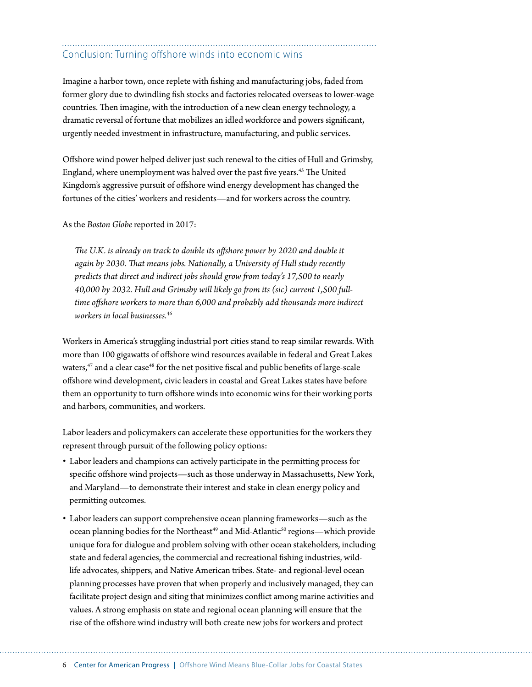# Conclusion: Turning offshore winds into economic wins

Imagine a harbor town, once replete with fishing and manufacturing jobs, faded from former glory due to dwindling fish stocks and factories relocated overseas to lower-wage countries. Then imagine, with the introduction of a new clean energy technology, a dramatic reversal of fortune that mobilizes an idled workforce and powers significant, urgently needed investment in infrastructure, manufacturing, and public services.

Offshore wind power helped deliver just such renewal to the cities of Hull and Grimsby, England, where unemployment was halved over the past five years.45 The United Kingdom's aggressive pursuit of offshore wind energy development has changed the fortunes of the cities' workers and residents—and for workers across the country.

As the *Boston Globe* reported in 2017:

*The U.K. is already on track to double its offshore power by 2020 and double it again by 2030. That means jobs. Nationally, a University of Hull study recently predicts that direct and indirect jobs should grow from today's 17,500 to nearly 40,000 by 2032. Hull and Grimsby will likely go from its (sic) current 1,500 fulltime offshore workers to more than 6,000 and probably add thousands more indirect workers in local businesses.*<sup>46</sup>

Workers in America's struggling industrial port cities stand to reap similar rewards. With more than 100 gigawatts of offshore wind resources available in federal and Great Lakes waters,<sup>47</sup> and a clear case<sup>48</sup> for the net positive fiscal and public benefits of large-scale offshore wind development, civic leaders in coastal and Great Lakes states have before them an opportunity to turn offshore winds into economic wins for their working ports and harbors, communities, and workers.

Labor leaders and policymakers can accelerate these opportunities for the workers they represent through pursuit of the following policy options:

- Labor leaders and champions can actively participate in the permitting process for specific offshore wind projects—such as those underway in Massachusetts, New York, and Maryland—to demonstrate their interest and stake in clean energy policy and permitting outcomes.
- Labor leaders can support comprehensive ocean planning frameworks—such as the ocean planning bodies for the Northeast<sup>49</sup> and Mid-Atlantic<sup>50</sup> regions—which provide unique fora for dialogue and problem solving with other ocean stakeholders, including state and federal agencies, the commercial and recreational fishing industries, wildlife advocates, shippers, and Native American tribes. State- and regional-level ocean planning processes have proven that when properly and inclusively managed, they can facilitate project design and siting that minimizes conflict among marine activities and values. A strong emphasis on state and regional ocean planning will ensure that the rise of the offshore wind industry will both create new jobs for workers and protect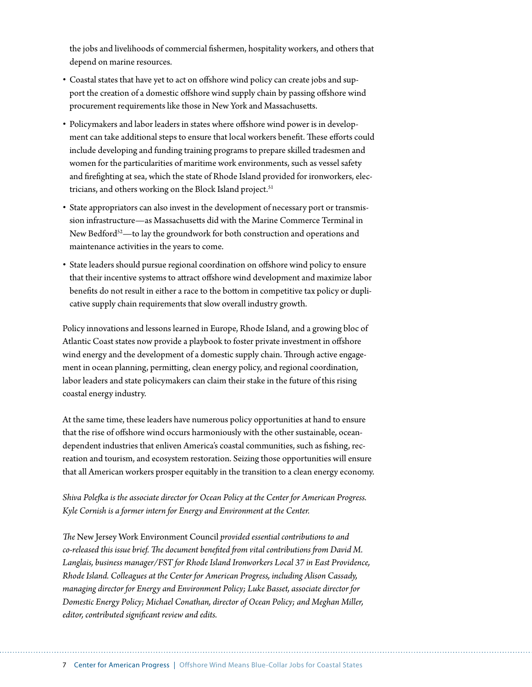the jobs and livelihoods of commercial fishermen, hospitality workers, and others that depend on marine resources.

- Coastal states that have yet to act on offshore wind policy can create jobs and support the creation of a domestic offshore wind supply chain by passing offshore wind procurement requirements like those in New York and Massachusetts.
- Policymakers and labor leaders in states where offshore wind power is in development can take additional steps to ensure that local workers benefit. These efforts could include developing and funding training programs to prepare skilled tradesmen and women for the particularities of maritime work environments, such as vessel safety and firefighting at sea, which the state of Rhode Island provided for ironworkers, electricians, and others working on the Block Island project.<sup>51</sup>
- State appropriators can also invest in the development of necessary port or transmission infrastructure—as Massachusetts did with the Marine Commerce Terminal in New Bedford<sup>52</sup>—to lay the groundwork for both construction and operations and maintenance activities in the years to come.
- State leaders should pursue regional coordination on offshore wind policy to ensure that their incentive systems to attract offshore wind development and maximize labor benefits do not result in either a race to the bottom in competitive tax policy or duplicative supply chain requirements that slow overall industry growth.

Policy innovations and lessons learned in Europe, Rhode Island, and a growing bloc of Atlantic Coast states now provide a playbook to foster private investment in offshore wind energy and the development of a domestic supply chain. Through active engagement in ocean planning, permitting, clean energy policy, and regional coordination, labor leaders and state policymakers can claim their stake in the future of this rising coastal energy industry.

At the same time, these leaders have numerous policy opportunities at hand to ensure that the rise of offshore wind occurs harmoniously with the other sustainable, oceandependent industries that enliven America's coastal communities, such as fishing, recreation and tourism, and ecosystem restoration. Seizing those opportunities will ensure that all American workers prosper equitably in the transition to a clean energy economy.

*Shiva Polefka is the associate director for Ocean Policy at the Center for American Progress. Kyle Cornish is a former intern for Energy and Environment at the Center.*

*The* New Jersey Work Environment Council *provided essential contributions to and co-released this issue brief. The document benefited from vital contributions from David M. Langlais, business manager/FST for Rhode Island Ironworkers Local 37 in East Providence, Rhode Island. Colleagues at the Center for American Progress, including Alison Cassady, managing director for Energy and Environment Policy; Luke Basset, associate director for Domestic Energy Policy; Michael Conathan, director of Ocean Policy; and Meghan Miller, editor, contributed significant review and edits.*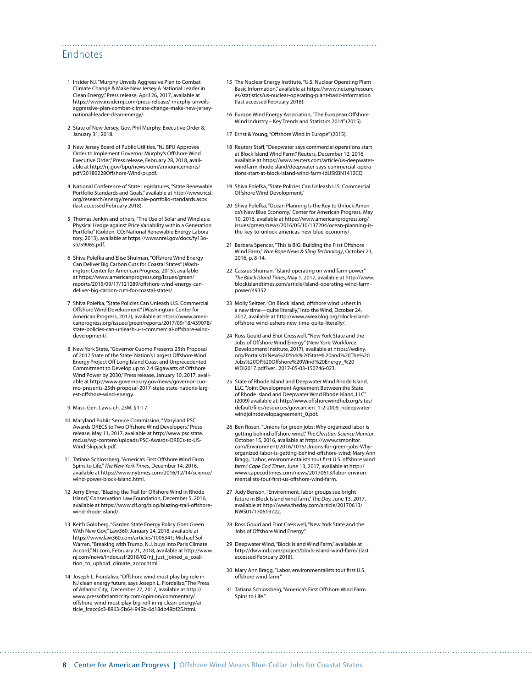#### Endnotes

- 1 Insider NJ, "Murphy Unveils Aggressive Plan to Combat Climate Change & Make New Jersey A National Leader in Clean Energy," Press release, April 26, 2017, available at [https://www.insidernj.com/press-release/-murphy-unveils](https://www.insidernj.com/press-release/​-murphy-unveils-aggressive-plan-combat-climate-change-make-new-jersey-national-leader-clean-energy/)[aggressive-plan-combat-climate-change-make-new-jersey](https://www.insidernj.com/press-release/​-murphy-unveils-aggressive-plan-combat-climate-change-make-new-jersey-national-leader-clean-energy/)[national-leader-clean-energy/.](https://www.insidernj.com/press-release/​-murphy-unveils-aggressive-plan-combat-climate-change-make-new-jersey-national-leader-clean-energy/)
- 2 State of New Jersey, Gov. Phil Murphy, Executive Order 8, January 31, 2018.
- 3 New Jersey Board of Public Utilities, "NJ BPU Approves Order to Implement Governor Murphy's Offshore Wind Executive Order," Press release, February 28, 2018, available at [http://nj.gov/bpu/newsroom/announcements/](http://nj.gov/bpu/newsroom/announcements/pdf/20180228Offshore-Wind-pr.pdf) [pdf/20180228Offshore-Wind-pr.pdf.](http://nj.gov/bpu/newsroom/announcements/pdf/20180228Offshore-Wind-pr.pdf)
- 4 National Conference of State Legislatures, "State Renewable Portfolio Standards and Goals," available at [http://www.ncsl.](http://www.ncsl.org/research/energy/renewable-portfolio-standards.aspx) [org/research/energy/renewable-portfolio-standards.aspx](http://www.ncsl.org/research/energy/renewable-portfolio-standards.aspx) (last accessed February 2018).
- 5 Thomas Jenkin and others, "The Use of Solar and Wind as a Physical Hedge against Price Variability within a Generation Portfolio" (Golden, CO: National Renewable Energy Laboratory, 2013), available at [https://www.nrel.gov/docs/fy13o](https://www.nrel.gov/docs/fy13osti/59065.pdf)[sti/59065.pdf.](https://www.nrel.gov/docs/fy13osti/59065.pdf)
- 6 Shiva Polefka and Elise Shulman, "Offshore Wind Energy Can Deliver Big Carbon Cuts for Coastal States" (Washington: Center for American Progress, 2015), available at [https://www.americanprogress.org/issues/green/](https://www.americanprogress.org/issues/green/reports/2015/09/17/121289/offshore-wind-energy-can-deliver-big-carbon-cuts-for-coastal-states/) [reports/2015/09/17/121289/offshore-wind-energy-can](https://www.americanprogress.org/issues/green/reports/2015/09/17/121289/offshore-wind-energy-can-deliver-big-carbon-cuts-for-coastal-states/)[deliver-big-carbon-cuts-for-coastal-states/](https://www.americanprogress.org/issues/green/reports/2015/09/17/121289/offshore-wind-energy-can-deliver-big-carbon-cuts-for-coastal-states/).
- 7 Shiva Polefka, "State Policies Can Unleash U.S. Commercial Offshore Wind Development" (Washington: Center for American Progress, 2017), available at [https://www.ameri](https://www.americanprogress.org/issues/green/reports/2017/09/18/439078/state-policies-can-unleash-u-s-commercial-offshore-wind-development/)[canprogress.org/issues/green/reports/2017/09/18/439078/](https://www.americanprogress.org/issues/green/reports/2017/09/18/439078/state-policies-can-unleash-u-s-commercial-offshore-wind-development/) [state-policies-can-unleash-u-s-commercial-offshore-wind](https://www.americanprogress.org/issues/green/reports/2017/09/18/439078/state-policies-can-unleash-u-s-commercial-offshore-wind-development/)[development/.](https://www.americanprogress.org/issues/green/reports/2017/09/18/439078/state-policies-can-unleash-u-s-commercial-offshore-wind-development/)
- 8 New York State, "Governor Cuomo Presents 25th Proposal of 2017 State of the State: Nation's Largest Offshore Wind Energy Project Off Long Island Coast and Unprecedented Commitment to Develop up to 2.4 Gigawatts of Offshore Wind Power by 2030," Press release, January 10, 2017, available at [http://www.governor.ny.gov/news/governor-cuo](http://www.governor.ny.gov/news/governor-cuomo-presents-25th-proposal-2017-state-state-nations-largest-offshore-wind-energy)[mo-presents-25th-proposal-2017-state-state-nations-larg](http://www.governor.ny.gov/news/governor-cuomo-presents-25th-proposal-2017-state-state-nations-largest-offshore-wind-energy)[est-offshore-wind-energy.](http://www.governor.ny.gov/news/governor-cuomo-presents-25th-proposal-2017-state-state-nations-largest-offshore-wind-energy)
- 9 Mass. Gen. Laws. ch. 23M, §1-17.
- 10 Maryland Public Service Commission, "Maryland PSC Awards ORECS to Two Offshore Wind Developers," Press release, May 11, 2017, available at [http://www.psc.state.](http://www.psc.state.md.us/wp-content/uploads/PSC-Awards-ORECs-to-US-Wind-Skipjack.pdf) [md.us/wp-content/uploads/PSC-Awards-ORECs-to-US-](http://www.psc.state.md.us/wp-content/uploads/PSC-Awards-ORECs-to-US-Wind-Skipjack.pdf)[Wind-Skipjack.pdf.](http://www.psc.state.md.us/wp-content/uploads/PSC-Awards-ORECs-to-US-Wind-Skipjack.pdf)
- 11 Tatiana Schlossberg, "America's First Offshore Wind Farm Spins to Life," *The New York Times*, December 14, 2016, available at [https://www.nytimes.com/2016/12/14/science/](https://www.nytimes.com/2016/12/14/science/wind-power-block-island.html) [wind-power-block-island.html](https://www.nytimes.com/2016/12/14/science/wind-power-block-island.html).
- 12 Jerry Elmer, "Blazing the Trail for Offshore Wind in Rhode Island," Conservation Law Foundation, December 5, 2016, available at [https://www.clf.org/blog/blazing-trail-offshore](https://www.clf.org/blog/blazing-trail-offshore-wind-rhode-island/)[wind-rhode-island/](https://www.clf.org/blog/blazing-trail-offshore-wind-rhode-island/).
- 13 Keith Goldberg, "Garden State Energy Policy Goes Green With New Gov," Law360, January 24, 2018, available at <https://www.law360.com/articles/1005341>; Michael Sol Warren, "Breaking with Trump, N.J. buys into Paris Climate Accord," NJ.com, February 21, 2018, available at [http://www.](http://www.nj.com/news/index.ssf/2018/02/nj_just_joined_a_coalition_to_uphold_climate_accor.html) [nj.com/news/index.ssf/2018/02/nj\\_just\\_joined\\_a\\_coali](http://www.nj.com/news/index.ssf/2018/02/nj_just_joined_a_coalition_to_uphold_climate_accor.html)[tion\\_to\\_uphold\\_climate\\_accor.html](http://www.nj.com/news/index.ssf/2018/02/nj_just_joined_a_coalition_to_uphold_climate_accor.html).
- 14 Joseph L. Fiordaliso, "Offshore wind must play big role in NJ clean energy future, says Joseph L. Fiordaliso," The Press of Atlantic City, December 27, 2017, available at [http://](http://www.pressofatlanticcity.com/opinion/commentary/offshore-wind-must-play-big-roll-in-nj-clean-energy/article_fcecc6c3-8963-5b64-945b-6d18db49bf25.html) [www.pressofatlanticcity.com/opinion/commentary/](http://www.pressofatlanticcity.com/opinion/commentary/offshore-wind-must-play-big-roll-in-nj-clean-energy/article_fcecc6c3-8963-5b64-945b-6d18db49bf25.html) [offshore-wind-must-play-big-roll-in-nj-clean-energy/ar](http://www.pressofatlanticcity.com/opinion/commentary/offshore-wind-must-play-big-roll-in-nj-clean-energy/article_fcecc6c3-8963-5b64-945b-6d18db49bf25.html)[ticle\\_fcecc6c3-8963-5b64-945b-6d18db49bf25.html.](http://www.pressofatlanticcity.com/opinion/commentary/offshore-wind-must-play-big-roll-in-nj-clean-energy/article_fcecc6c3-8963-5b64-945b-6d18db49bf25.html)
- 15 The Nuclear Energy Institute, "U.S. Nuclear Operating Plant Basic Information," available at https://www.nei.org/resources/statistics/us-nuclear-operating-plant-basic-information (last accessed February 2018).
- 16 Europe Wind Energy Association, "The European Offshore Wind Industry – Key Trends and Statistics 2014" (2015).
- 17 Ernst & Young, "Offshore Wind in Europe" (2015).

- 18 Reuters Staff, "Deepwater says commercial operations start at Block Island Wind Farm," Reuters, December 12, 2016, available at [https://www.reuters.com/article/us-deepwater](https://www.reuters.com/article/us-deepwater-windfarm-rhodeisland/deepwater-says-commercial-operations-start-at-block-island-wind-farm-idUSKBN1412CQ)[windfarm-rhodeisland/deepwater-says-commercial-opera](https://www.reuters.com/article/us-deepwater-windfarm-rhodeisland/deepwater-says-commercial-operations-start-at-block-island-wind-farm-idUSKBN1412CQ)[tions-start-at-block-island-wind-farm-idUSKBN1412CQ](https://www.reuters.com/article/us-deepwater-windfarm-rhodeisland/deepwater-says-commercial-operations-start-at-block-island-wind-farm-idUSKBN1412CQ).
- 19 Shiva Polefka, "State Policies Can Unleash U.S. Commercial -------<br>Offshore Wind Development.
- 20 Shiva Polefka, "Ocean Planning Is the Key to Unlock America's New Blue Economy," Center for American Progress, May 10, 2016, available at [https://www.americanprogress.org/](https://www.americanprogress.org/issues/green/news/2016/05/10/137204/ocean-planning-is-the-key-to-unlock-americas-new-blue-economy/) [issues/green/news/2016/05/10/137204/ocean-planning-is](https://www.americanprogress.org/issues/green/news/2016/05/10/137204/ocean-planning-is-the-key-to-unlock-americas-new-blue-economy/)[the-key-to-unlock-americas-new-blue-economy/](https://www.americanprogress.org/issues/green/news/2016/05/10/137204/ocean-planning-is-the-key-to-unlock-americas-new-blue-economy/).
- 21 Barbara Spencer, "This is BIG: Building the First Offshore Wind Farm," *Wire Rope News & Sling Technology*, October 23, 2016, p. 8-14.
- 22 Cassius Shuman, "Island operating on wind farm power." *The Block Island Times*, May 1, 2017, available at [http://www.](http://www.blockislandtimes.com/article/island-operating-wind-farm-power/49352) [blockislandtimes.com/article/island-operating-wind-farm](http://www.blockislandtimes.com/article/island-operating-wind-farm-power/49352)[power/49352](http://www.blockislandtimes.com/article/island-operating-wind-farm-power/49352).
- 23 Molly Seltzer, "On Block Island, offshore wind ushers in a new time—quite literally," Into the Wind, October 24, 2017, available at [http://www.aweablog.org/block-island](http://www.aweablog.org/block-island-offshore-wind-ushers-new-time-quite-literally/)[offshore-wind-ushers-new-time-quite-literally/.](http://www.aweablog.org/block-island-offshore-wind-ushers-new-time-quite-literally/)
- 24 Ross Gould and Eliot Cresswell, "New York State and the Jobs of Offshore Wind Energy" (New York: Workforce Development Institute, 2017), available at [https://wdiny.](https://wdiny.org/Portals/0/New%20York%20State%20and%20The%20Jobs%20Of%20Offshore%20Wind%20Energy_%20WDI2017.pdf?ver=2017-05-03-150746-023) [org/Portals/0/New%20York%20State%20and%20The%20](https://wdiny.org/Portals/0/New%20York%20State%20and%20The%20Jobs%20Of%20Offshore%20Wind%20Energy_%20WDI2017.pdf?ver=2017-05-03-150746-023) [Jobs%20Of%20Offshore%20Wind%20Energy\\_%20](https://wdiny.org/Portals/0/New%20York%20State%20and%20The%20Jobs%20Of%20Offshore%20Wind%20Energy_%20WDI2017.pdf?ver=2017-05-03-150746-023) [WDI2017.pdf?ver=2017-05-03-150746-023](https://wdiny.org/Portals/0/New%20York%20State%20and%20The%20Jobs%20Of%20Offshore%20Wind%20Energy_%20WDI2017.pdf?ver=2017-05-03-150746-023).
- 25 State of Rhode Island and Deepwater Wind Rhode Island, LLC, "Joint Development Agreement Between the State of Rhode Island and Deepwater Wind Rhode Island, LLC" (2009) available at: [http://www.offshorewindhub.org/sites/](http://www.offshorewindhub.org/sites/default/files/resources/govcarcieri_1-2-2009_rideepwaterwindjointdevelopagreement_0.pdf) [default/files/resources/govcarcieri\\_1-2-2009\\_rideepwater](http://www.offshorewindhub.org/sites/default/files/resources/govcarcieri_1-2-2009_rideepwaterwindjointdevelopagreement_0.pdf)[windjointdevelopagreement\\_0.pdf](http://www.offshorewindhub.org/sites/default/files/resources/govcarcieri_1-2-2009_rideepwaterwindjointdevelopagreement_0.pdf).
- 26 Ben Rosen, "Unions for green jobs: Why organized labor is getting behind offshore wind," *The Christian Science Monitor*, October 15, 2016, available at [https://www.csmonitor.](https://www.csmonitor.com/Environment/2016/1015/Unions-for-green-jobs-Why-organized-labor-is-getting-behind-offshore-wind) [com/Environment/2016/1015/Unions-for-green-jobs-Why](https://www.csmonitor.com/Environment/2016/1015/Unions-for-green-jobs-Why-organized-labor-is-getting-behind-offshore-wind)[organized-labor-is-getting-behind-offshore-wind](https://www.csmonitor.com/Environment/2016/1015/Unions-for-green-jobs-Why-organized-labor-is-getting-behind-offshore-wind); Mary Ann Bragg, "Labor, environmentalists tout first U.S. offshore wind farm," *Cape Cod Times*, June 13, 2017, available at [http://](http://www.capecodtimes.com/news/20170613/labor-environmentalists-tout-first-us-offshore-wind-farm) [www.capecodtimes.com/news/20170613/labor-environ](http://www.capecodtimes.com/news/20170613/labor-environmentalists-tout-first-us-offshore-wind-farm)[mentalists-tout-first-us-offshore-wind-farm.](http://www.capecodtimes.com/news/20170613/labor-environmentalists-tout-first-us-offshore-wind-farm)
- 27 Judy Benson, "Environment, labor groups see bright future in Block Island wind farm," *The Day,* June 13, 2017, available at [http://www.theday.com/article/20170613/](http://www.theday.com/article/20170613/NWS01/170619722) [NWS01/170619722](http://www.theday.com/article/20170613/NWS01/170619722).
- 28 Ross Gould and Eliot Cresswell, "New York State and the Jobs of Offshore Wind Energy.
- 29 Deepwater Wind, "Block Island Wind Farm," available at <http://dwwind.com/project/block-island-wind-farm/>(last accessed February 2018).
- 30 Mary Ann Bragg, "Labor, environmentalists tout first U.S. offshore wind farm."
- 31 Tatiana Schlossberg, "America's First Offshore Wind Farm Spins to Life."